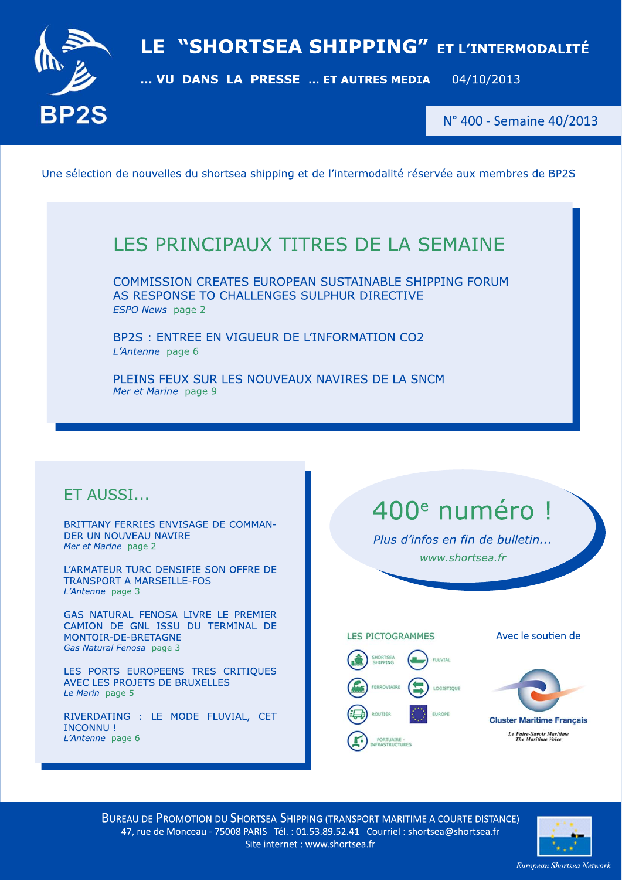



N° 400 - Semaine 40/2013

Une sélection de nouvelles du shortsea shipping et de l'intermodalité réservée aux membres de BP2S

## LES PRINCIPAUX TITRES DE LA SEMAINE

COMMISSION CREATES EUROPEAN SUSTAINABLE SHIPPING FORUM AS RESPONSE TO CHALLENGES SULPHUR DIRECTIVE ESPO News page 2

BP2S : ENTREE EN VIGUEUR DE L'INFORMATION CO2 L'Antenne page 6

PLEINS FEUX SUR LES NOUVEAUX NAVIRES DE LA SNCM Mer et Marine page 9

### ET AUSSI...

BRITTANY FERRIES ENVISAGE DE COMMAN-DER UN NOUVEAU NAVIRE Mer et Marine page 2

L'ARMATEUR TURC DENSIFIE SON OFFRE DE **TRANSPORT A MARSEILLE-FOS** L'Antenne page 3

GAS NATURAL FENOSA LIVRE LE PREMIER CAMION DE GNL ISSU DU TERMINAL DE MONTOIR-DF-BRETAGNE Gas Natural Fenosa page 3

LES PORTS EUROPEENS TRES CRITIQUES AVEC LES PROJETS DE BRUXELLES Le Marin page 5

RIVERDATING : LE MODE FLUVIAL, CET **INCONNU!** L'Antenne page 6

# 400<sup>e</sup> numéro !

Plus d'infos en fin de bulletin... www.shortsea.fr

**LES PICTOGRAMMES FLUVIAL** FERROVIAIR LOGISTIQUE

**EUROPE** 

ROUTTER

ORTUAIRE

Avec le soutien de



**Cluster Maritime Francais** Le Faire-Savoir Maritime

**BUREAU DE PROMOTION DU SHORTSEA SHIPPING (TRANSPORT MARITIME A COURTE DISTANCE)** 47, rue de Monceau - 75008 PARIS Tél. : 01.53.89.52.41 Courriel : shortsea@shortsea.fr Site internet : www.shortsea.fr

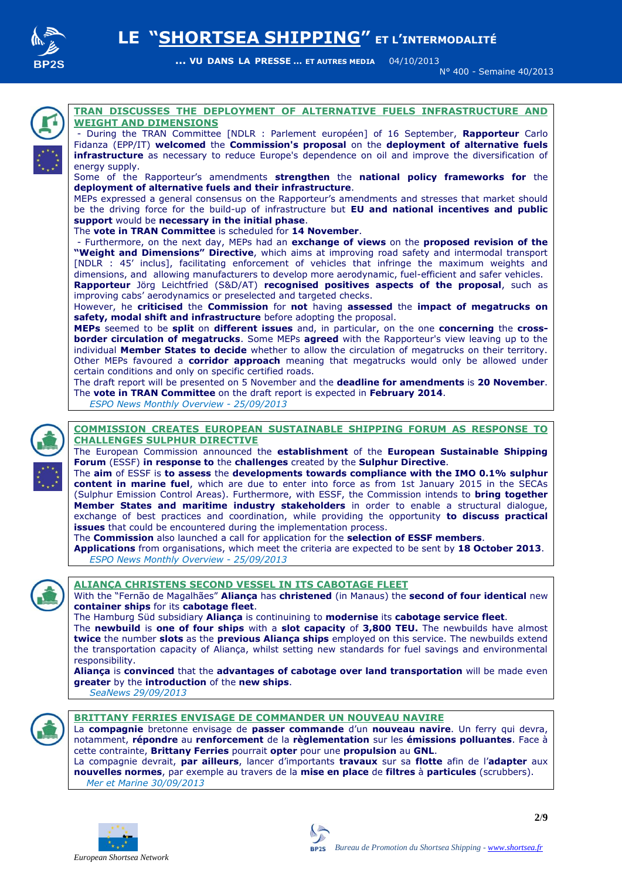

N° 400 - Semaine 40/2013



#### **TRAN DISCUSSES THE DEPLOYMENT OF ALTERNATIVE FUELS INFRASTRUCTURE AND WEIGHT AND DIMENSIONS**

- During the TRAN Committee [NDLR : Parlement européen] of 16 September, **Rapporteur** Carlo Fidanza (EPP/IT) **welcomed** the **Commission's proposal** on the **deployment of alternative fuels infrastructure** as necessary to reduce Europe's dependence on oil and improve the diversification of energy supply.

Some of the Rapporteur's amendments **strengthen** the **national policy frameworks for** the **deployment of alternative fuels and their infrastructure**.

MEPs expressed a general consensus on the Rapporteur's amendments and stresses that market should be the driving force for the build-up of infrastructure but **EU and national incentives and public support** would be **necessary in the initial phase**.

The **vote in TRAN Committee** is scheduled for **14 November**.

- Furthermore, on the next day, MEPs had an **exchange of views** on the **proposed revision of the "Weight and Dimensions" Directive**, which aims at improving road safety and intermodal transport [NDLR : 45' inclus], facilitating enforcement of vehicles that infringe the maximum weights and dimensions, and allowing manufacturers to develop more aerodynamic, fuel-efficient and safer vehicles. **Rapporteur** Jörg Leichtfried (S&D/AT) **recognised positives aspects of the proposal**, such as improving cabs' aerodynamics or preselected and targeted checks.

However, he **criticised** the **Commission** for **not** having **assessed** the **impact of megatrucks on safety, modal shift and infrastructure** before adopting the proposal.

**MEPs** seemed to be **split** on **different issues** and, in particular, on the one **concerning** the **crossborder circulation of megatrucks**. Some MEPs **agreed** with the Rapporteur's view leaving up to the individual **Member States to decide** whether to allow the circulation of megatrucks on their territory. Other MEPs favoured a **corridor approach** meaning that megatrucks would only be allowed under certain conditions and only on specific certified roads.

The draft report will be presented on 5 November and the **deadline for amendments** is **20 November**. The **vote in TRAN Committee** on the draft report is expected in **February 2014**.

*ESPO News Monthly Overview - 25/09/2013*



#### **COMMISSION CREATES EUROPEAN SUSTAINABLE SHIPPING FORUM AS RESPONSE TO CHALLENGES SULPHUR DIRECTIVE**

The European Commission announced the **establishment** of the **European Sustainable Shipping Forum** (ESSF) **in response to** the **challenges** created by the **Sulphur Directive**.

The **aim** of ESSF is **to assess** the **developments towards compliance with the IMO 0.1% sulphur content in marine fuel**, which are due to enter into force as from 1st January 2015 in the SECAs (Sulphur Emission Control Areas). Furthermore, with ESSF, the Commission intends to **bring together Member States and maritime industry stakeholders** in order to enable a structural dialogue, exchange of best practices and coordination, while providing the opportunity **to discuss practical issues** that could be encountered during the implementation process.

The **Commission** also launched a [call for application](http://ec.europa.eu/transport/themes/sustainable/news/doc/2013-09-25-essf-call-for-applications/call.pdf) for the **selection of ESSF members**.

**Applications** from organisations, which meet the criteria are expected to be sent by **18 October 2013**.  *ESPO News Monthly Overview - 25/09/2013*



#### **ALIANÇA CHRISTENS SECOND VESSEL IN ITS CABOTAGE FLEET**

With the "Fernão de Magalhães" **Aliança** has **christened** (in Manaus) the **second of four identical** new **container ships** for its **cabotage fleet**.

The Hamburg Süd subsidiary **Aliança** is continuining to **modernise** its **cabotage service fleet**. The **newbuild** is **one of four ships** with a **slot capacity** of **3,800 TEU.** The newbuilds have almost **twice** the number **slots** as the **previous Aliança ships** employed on this service. The newbuilds extend the transportation capacity of Aliança, whilst setting new standards for fuel savings and environmental responsibility.

**Aliança** is **convinced** that the **advantages of cabotage over land transportation** will be made even **greater** by the **introduction** of the **new ships**.

*SeaNews 29/09/2013*



#### **BRITTANY FERRIES ENVISAGE DE COMMANDER UN NOUVEAU NAVIRE**

La **compagnie** bretonne envisage de **passer commande** d'un **nouveau navire**. Un ferry qui devra, notamment, **répondre** au **renforcement** de la **règlementation** sur les **émissions polluantes**. Face à cette contrainte, **Brittany Ferries** pourrait **opter** pour une **propulsion** au **GNL**.

La compagnie devrait, **par ailleurs**, lancer d'importants **travaux** sur sa **flotte** afin de l'**adapter** aux **nouvelles normes**, par exemple au travers de la **mise en place** de **filtres** à **particules** (scrubbers).  *Mer et Marine 30/09/2013*

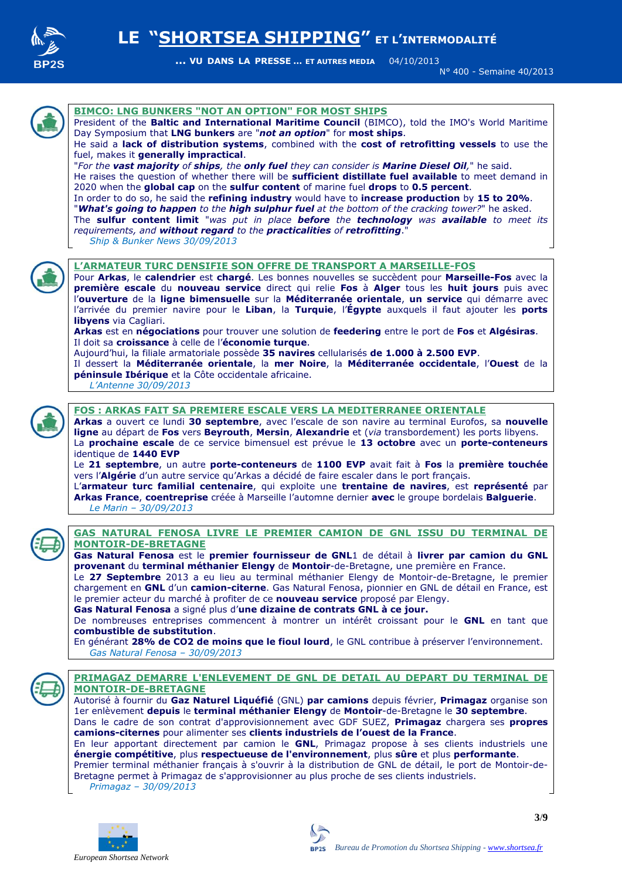

N° 400 - Semaine 40/2013



#### **BIMCO: LNG BUNKERS "NOT AN OPTION" FOR MOST SHIPS**

President of the **Baltic and International Maritime Council** (BIMCO), told the IMO's World Maritime Day Symposium that **LNG bunkers** are "*not an option*" for **most ships**.

He said a **lack of distribution systems**, combined with the **cost of retrofitting vessels** to use the fuel, makes it **generally impractical**.

"*For the vast majority of ships, the only fuel they can consider is Marine Diesel Oil,*" he said. He raises the question of whether there will be **sufficient distillate fuel available** to meet demand in 2020 when the **global cap** on the **sulfur content** of marine fuel **drops** to **0.5 percent**.

In order to do so, he said the **refining industry** would have to **increase production** by **15 to 20%**. "*What's going to happen to the high sulphur fuel at the bottom of the cracking tower?*" he asked. The **sulfur content limit** "*was put in place before the technology was available to meet its requirements, and without regard to the practicalities of retrofitting*."  *Ship & Bunker News 30/09/2013*



#### **L'ARMATEUR TURC DENSIFIE SON OFFRE DE TRANSPORT A MARSEILLE-FOS**

Pour **Arkas**, le **calendrier** est **chargé**. Les bonnes nouvelles se succèdent pour **Marseille-Fos** avec la **première escale** du **nouveau service** direct qui relie **Fos** à **Alger** tous les **huit jours** puis avec l'**ouverture** de la **ligne bimensuelle** sur la **Méditerranée orientale**, **un service** qui démarre avec l'arrivée du premier navire pour le **Liban**, la **Turquie**, l'**Égypte** auxquels il faut ajouter les **ports libyens** via Cagliari.

**Arkas** est en **négociations** pour trouver une solution de **feedering** entre le port de **Fos** et **Algésiras**. Il doit sa **croissance** à celle de l'**économie turque**.

Aujourd'hui, la filiale armatoriale possède **35 navires** cellularisés **de 1.000 à 2.500 EVP**.

Il dessert la **Méditerranée orientale**, la **mer Noire**, la **Méditerranée occidentale**, l'**Ouest** de la **péninsule Ibérique** et la Côte occidentale africaine.

 *L'Antenne 30/09/2013*



#### **FOS : ARKAS FAIT SA PREMIERE ESCALE VERS LA MEDITERRANEE ORIENTALE**

**Arkas** a ouvert ce lundi **30 septembre**, avec l'escale de son navire au terminal Eurofos, sa **nouvelle ligne** au départ de **Fos** vers **Beyrouth**, **Mersin**, **Alexandrie** et (*via* transbordement) les ports libyens. La **prochaine escale** de ce service bimensuel est prévue le **13 octobre** avec un **porte-conteneurs** identique de **1440 EVP**

Le **21 septembre**, un autre **porte-conteneurs** de **1100 EVP** avait fait à **Fos** la **première touchée** vers l'**Algérie** d'un autre service qu'Arkas a décidé de faire escaler dans le port français.

L'**armateur turc familial centenaire**, qui exploite une **trentaine de navires**, est **représenté** par **Arkas France**, **coentreprise** créée à Marseille l'automne dernier **avec** le groupe bordelais **Balguerie**.  *Le Marin – 30/09/2013*



#### **GAS NATURAL FENOSA LIVRE LE PREMIER CAMION DE GNL ISSU DU TERMINAL DE MONTOIR-DE-BRETAGNE**

**Gas Natural Fenosa** est le **premier fournisseur de GNL**1 de détail à **livrer par camion du GNL provenant** du **terminal méthanier Elengy** de **Montoir**-de-Bretagne, une première en France.

Le **27 Septembre** 2013 a eu lieu au terminal méthanier Elengy de Montoir-de-Bretagne, le premier chargement en **GNL** d'un **camion-citerne**. Gas Natural Fenosa, pionnier en GNL de détail en France, est le premier acteur du marché à profiter de ce **nouveau service** proposé par Elengy.

**Gas Natural Fenosa** a signé plus d'**une dizaine de contrats GNL à ce jour.** 

De nombreuses entreprises commencent à montrer un intérêt croissant pour le **GNL** en tant que **combustible de substitution**.

En générant **28% de CO2 de moins que le fioul lourd**, le GNL contribue à préserver l'environnement.  *Gas Natural Fenosa – 30/09/2013*



#### **PRIMAGAZ DEMARRE L'ENLEVEMENT DE GNL DE DETAIL AU DEPART DU TERMINAL DE MONTOIR-DE-BRETAGNE**

Autorisé à fournir du **Gaz Naturel Liquéfié** (GNL) **par camions** depuis février, **Primagaz** organise son 1er enlèvement **depuis** le **terminal méthanier Elengy** de **Montoir**-de-Bretagne le **30 septembre**. Dans le cadre de son contrat d'approvisionnement avec GDF SUEZ, **Primagaz** chargera ses **propres camions-citernes** pour alimenter ses **clients industriels de l'ouest de la France**. En leur apportant directement par camion le **GNL**, Primagaz propose à ses clients industriels une **énergie compétitive**, plus **respectueuse de l'environnement**, plus **sûre** et plus **performante**. Premier terminal méthanier français à s'ouvrir à la distribution de GNL de détail, le port de Montoir-de-Bretagne permet à Primagaz de s'approvisionner au plus proche de ses clients industriels.  *Primagaz – 30/09/2013*



**3**/**9**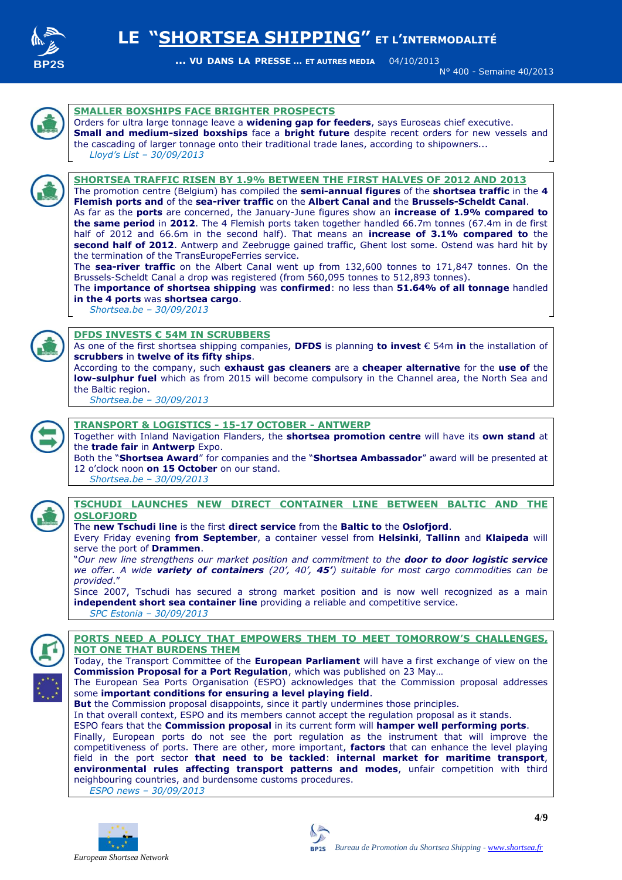

N° 400 - Semaine 40/2013



According to the company, such **exhaust gas cleaners** are a **cheaper alternative** for the **use of** the **low-sulphur fuel** which as from 2015 will become compulsory in the Channel area, the North Sea and the Baltic region.

 *Shortsea.be – 30/09/2013*

![](_page_3_Picture_7.jpeg)

#### **TRANSPORT & LOGISTICS - 15-17 OCTOBER - ANTWERP**

Together with Inland Navigation Flanders, the **shortsea promotion centre** will have its **own stand** at the **trade fair** in **Antwerp** Expo.

Both the "**Shortsea Award**" for companies and the "**Shortsea Ambassador**" award will be presented at 12 o'clock noon **on 15 October** on our stand.

 *Shortsea.be – 30/09/2013*

![](_page_3_Picture_12.jpeg)

#### **TSCHUDI LAUNCHES NEW DIRECT CONTAINER LINE BETWEEN BALTIC AND THE OSLOFJORD**

The **new Tschudi line** is the first **direct service** from the **Baltic to** the **Oslofjord**.

Every Friday evening **from September**, a container vessel from **Helsinki**, **Tallinn** and **Klaipeda** will serve the port of **Drammen**.

"*Our new line strengthens our market position and commitment to the door to door logistic service we offer. A wide variety of containers (20', 40', 45') suitable for most cargo commodities can be provided*."

Since 2007, Tschudi has secured a strong market position and is now well recognized as a main **independent short sea container line** providing a reliable and competitive service.  *SPC Estonia – 30/09/2013*

![](_page_3_Picture_18.jpeg)

#### **PORTS NEED A POLICY THAT EMPOWERS THEM TO MEET TOMORROW'S CHALLENGES, NOT ONE THAT BURDENS THEM**

Today, the Transport Committee of the **European Parliament** will have a first exchange of view on the **Commission Proposal for a Port Regulation**, which was published on 23 May…

The European Sea Ports Organisation (ESPO) acknowledges that the Commission proposal addresses some **important conditions for ensuring a level playing field**.

**But** the Commission proposal disappoints, since it partly undermines those principles.

In that overall context, ESPO and its members cannot accept the regulation proposal as it stands.

ESPO fears that the **Commission proposal** in its current form will **hamper well performing ports**.

Finally, European ports do not see the port regulation as the instrument that will improve the competitiveness of ports. There are other, more important, **factors** that can enhance the level playing field in the port sector **that need to be tackled**: **internal market for maritime transport**, **environmental rules affecting transport patterns and modes**, unfair competition with third neighbouring countries, and burdensome customs procedures.

 *ESPO news – 30/09/2013*

![](_page_3_Picture_27.jpeg)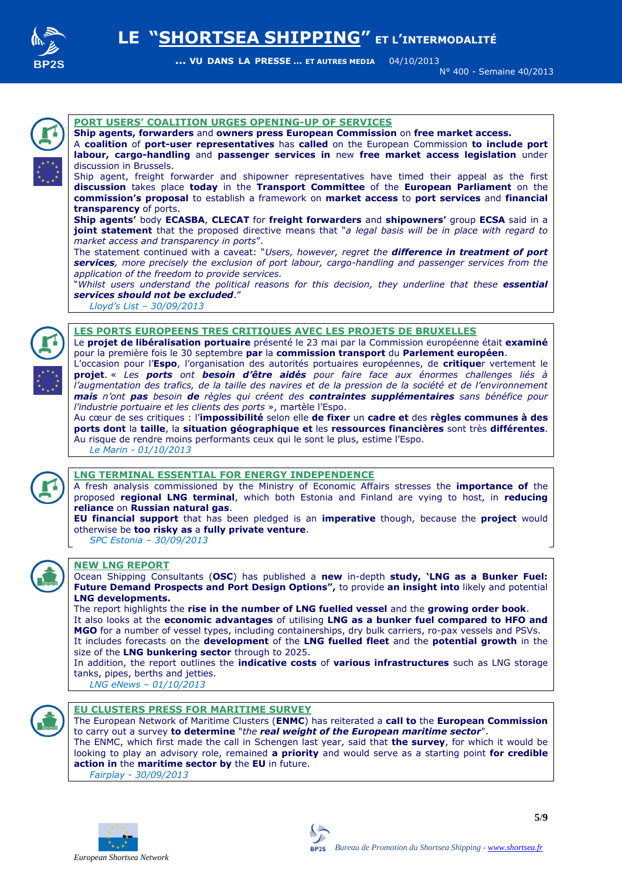![](_page_4_Picture_0.jpeg)

N° 400 - Semaine 40/2013

![](_page_4_Picture_4.jpeg)

#### **PORT USERS' COALITION URGES OPENING-UP OF SERVICES**

**Ship agents, forwarders** and **owners press European Commission** on **free market access.**

A **coalition** of **port-user representatives** has **called** on the European Commission **to include port labour, cargo-handling** and **passenger services in** new **free market access legislation** under discussion in Brussels.

Ship agent, freight forwarder and shipowner representatives have timed their appeal as the first **discussion** takes place **today** in the **Transport Committee** of the **European Parliament** on the **commission's proposal** to establish a framework on **market access** to **port services** and **financial transparency** of ports.

**Ship agents'** body **ECASBA**, **CLECAT** for **freight forwarders** and **shipowners'** group **ECSA** said in a **joint statement** that the proposed directive means that "*a legal basis will be in place with regard to market access and transparency in ports*".

The statement continued with a caveat: "*Users, however, regret the difference in treatment of port services, more precisely the exclusion of port labour, cargo-handling and passenger services from the application of the freedom to provide services.*

"*Whilst users understand the political reasons for this decision, they underline that these essential services should not be excluded*."

 *Lloyd's List – 30/09/2013*

![](_page_4_Picture_13.jpeg)

#### **LES PORTS EUROPEENS TRES CRITIQUES AVEC LES PROJETS DE BRUXELLES**

Le **projet de libéralisation portuaire** présenté le 23 mai par la Commission européenne était **examiné** pour la première fois le 30 septembre **par** la **commission transport** du **Parlement européen**.

L'occasion pour l'**Espo**, l'organisation des autorités portuaires européennes, de **critique**r vertement le **projet**. « *Les ports ont besoin d'être aidés pour faire face aux énormes challenges liés à l'augmentation des trafics, de la taille des navires et de la pression de la société et de l'environnement mais n'ont pas besoin de règles qui créent des contraintes supplémentaires sans bénéfice pour l'industrie portuaire et les clients des ports* », martèle l'Espo.

Au cœur de ses critiques : l'**impossibilité** selon elle **de fixer** un **cadre et** des **règles communes à des ports dont** la **taille**, la **situation géographique et** les **ressources financières** sont très **différentes**. Au risque de rendre moins performants ceux qui le sont le plus, estime l'Espo.  *Le Marin - 01/10/2013*

#### **LNG TERMINAL ESSENTIAL FOR ENERGY INDEPENDENCE**

A fresh analysis commissioned by the Ministry of Economic Affairs stresses the **importance of** the proposed **regional LNG terminal**, which both Estonia and Finland are vying to host, in **reducing reliance** on **Russian natural gas**.

**EU financial support** that has been pledged is an **imperative** though, because the **project** would otherwise be **too risky as** a **fully private venture**.

 *SPC Estonia – 30/09/2013*

![](_page_4_Picture_23.jpeg)

#### **NEW LNG REPORT**

Ocean Shipping Consultants (**OSC**) has published a **new** in-depth **study, 'LNG as a Bunker Fuel: Future Demand Prospects and Port Design Options",** to provide **an insight into** likely and potential **LNG developments.**

The report highlights the **rise in the number of LNG fuelled vessel** and the **growing order book**. It also looks at the **economic advantages** of utilising **LNG as a bunker fuel compared to HFO and MGO** for a number of vessel types, including containerships, dry bulk carriers, ro-pax vessels and PSVs. It includes forecasts on the **development** of the **LNG fuelled fleet** and the **potential growth** in the size of the **LNG bunkering sector** through to 2025.

In addition, the report outlines the **indicative costs** of **various infrastructures** such as LNG storage tanks, pipes, berths and jetties.

 *LNG eNews – 01/10/2013*

![](_page_4_Picture_29.jpeg)

#### **EU CLUSTERS PRESS FOR MARITIME SURVEY**

The European Network of Maritime Clusters (**ENMC**) has reiterated a **call to** the **European Commission** to carry out a survey **to determine** "*the real weight of the European maritime sector*". The ENMC, which first made the call in Schengen last year, said that **the survey**, for which it would be looking to play an advisory role, remained **a priority** and would serve as a starting point **for credible action in** the **maritime sector by** the **EU** in future.

 *Fairplay - 30/09/2013*

![](_page_4_Picture_33.jpeg)

**5**/**9**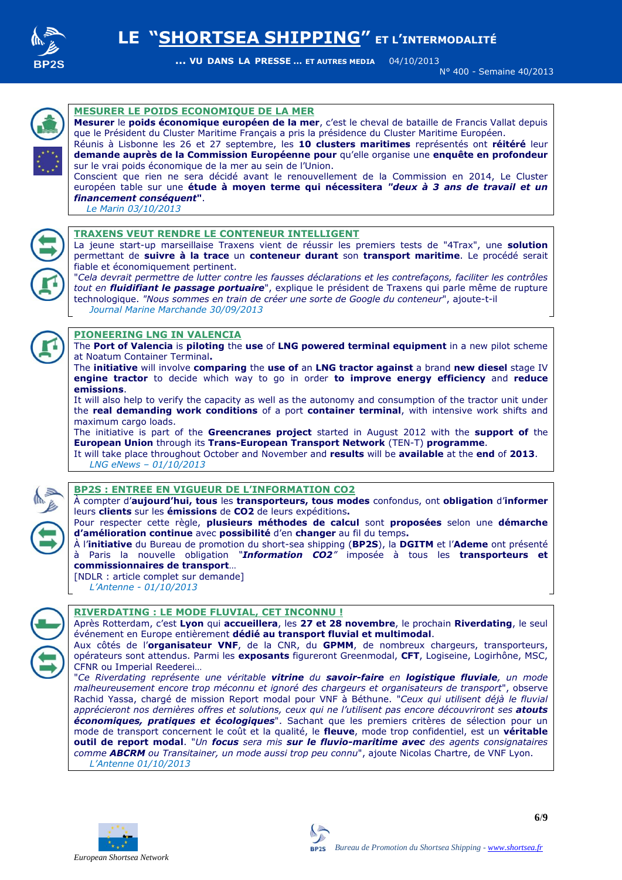![](_page_5_Picture_0.jpeg)

N° 400 - Semaine 40/2013

![](_page_5_Picture_4.jpeg)

![](_page_5_Picture_5.jpeg)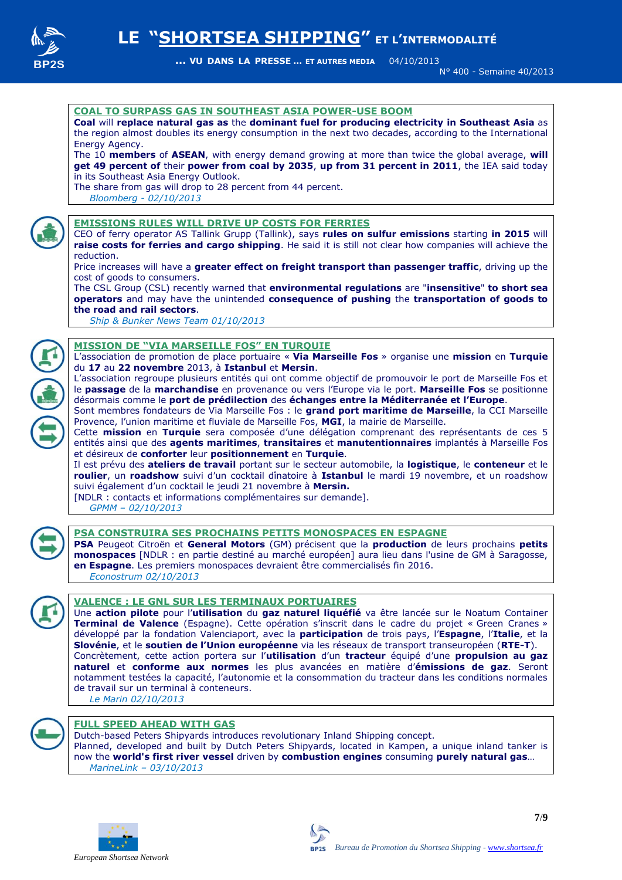![](_page_6_Picture_0.jpeg)

N° 400 - Semaine 40/2013

#### **COAL TO SURPASS GAS IN SOUTHEAST ASIA POWER-USE BOOM**

**Coal** will **replace natural gas as** the **dominant fuel for producing electricity in Southeast Asia** as the region almost doubles its energy consumption in the next two decades, according to the International Energy Agency.

The 10 **members** of **ASEAN**, with energy demand growing at more than twice the global average, **will get 49 percent of** their **power from coal by 2035**, **up from 31 percent in 2011**, the IEA said today in its Southeast Asia Energy Outlook.

The share from gas will drop to 28 percent from 44 percent.

*Bloomberg - 02/10/2013*

![](_page_6_Picture_9.jpeg)

#### **EMISSIONS RULES WILL DRIVE UP COSTS FOR FERRIES**

CEO of ferry operator AS Tallink Grupp (Tallink), says **rules on sulfur emissions** starting **in 2015** will **raise costs for ferries and cargo shipping**. He said it is still not clear how companies will achieve the reduction.

Price increases will have a **greater effect on freight transport than passenger traffic**, driving up the cost of goods to consumers.

The CSL Group (CSL) recently warned that **environmental regulations** are "**insensitive**" **to short sea operators** and may have the unintended **consequence of pushing** the **transportation of goods to the road and rail sectors**.

 *Ship & Bunker News Team 01/10/2013* 

#### **MISSION DE "VIA MARSEILLE FOS" EN TURQUIE**

L'association de promotion de place portuaire « **Via Marseille Fos** » organise une **mission** en **Turquie** du **17** au **22 novembre** 2013, à **Istanbul** et **Mersin**.

L'association regroupe plusieurs entités qui ont comme objectif de promouvoir le port de Marseille Fos et le **passage** de la **marchandise** en provenance ou vers l'Europe via le port. **Marseille Fos** se positionne désormais comme le **port de prédilection** des **échanges entre la Méditerranée et l'Europe**.

Sont membres fondateurs de Via Marseille Fos : le **grand port maritime de Marseille**, la CCI Marseille Provence, l'union maritime et fluviale de Marseille Fos, **MGI**, la mairie de Marseille.

Cette **mission** en **Turquie** sera composée d'une délégation comprenant des représentants de ces 5 entités ainsi que des **agents maritimes**, **transitaires** et **manutentionnaires** implantés à Marseille Fos et désireux de **conforter** leur **positionnement** en **Turquie**.

Il est prévu des **ateliers de travail** portant sur le secteur automobile, la **logistique**, le **conteneur** et le **roulier**, un **roadshow** suivi d'un cocktail dînatoire à **Istanbul** le mardi 19 novembre, et un roadshow suivi également d'un cocktail le jeudi 21 novembre à **Mersin.**

[NDLR : contacts et informations complémentaires sur demande].

 *GPMM – 02/10/2013*

![](_page_6_Picture_23.jpeg)

#### **PSA CONSTRUIRA SES PROCHAINS PETITS MONOSPACES EN ESPAGNE**

**PSA** Peugeot Citroën et **General Motors** (GM) précisent que la **production** de leurs prochains **petits monospaces** [NDLR : en partie destiné au marché européen] aura lieu dans l'usine de GM à Saragosse, **en Espagne**. Les premiers monospaces devraient être commercialisés fin 2016.  *Econostrum 02/10/2013*

![](_page_6_Picture_26.jpeg)

#### **VALENCE : LE GNL SUR LES TERMINAUX PORTUAIRES**

Une **action pilote** pour l'**utilisation** du **gaz naturel liquéfié** va être lancée sur le Noatum Container **Terminal de Valence** (Espagne). Cette opération s'inscrit dans le cadre du projet « Green Cranes » développé par la fondation Valenciaport, avec la **participation** de trois pays, l'**Espagne**, l'**Italie**, et la **Slovénie**, et le **soutien de l'Union européenne** via les réseaux de transport transeuropéen (**RTE-T**). Concrètement, cette action portera sur l'**utilisation** d'un **tracteur** équipé d'une **propulsion au gaz naturel** et **conforme aux normes** les plus avancées en matière d'**émissions de gaz**. Seront notamment testées la capacité, l'autonomie et la consommation du tracteur dans les conditions normales de travail sur un terminal à conteneurs.  *Le Marin 02/10/2013*

![](_page_6_Picture_29.jpeg)

#### **FULL SPEED AHEAD WITH GAS**

Dutch-based Peters Shipyards introduces revolutionary Inland Shipping concept. Planned, developed and built by Dutch Peters Shipyards, located in Kampen, a unique inland tanker is now the **world's first river vessel** driven by **combustion engines** consuming **purely natural gas**… *MarineLink – 03/10/2013*

![](_page_6_Picture_32.jpeg)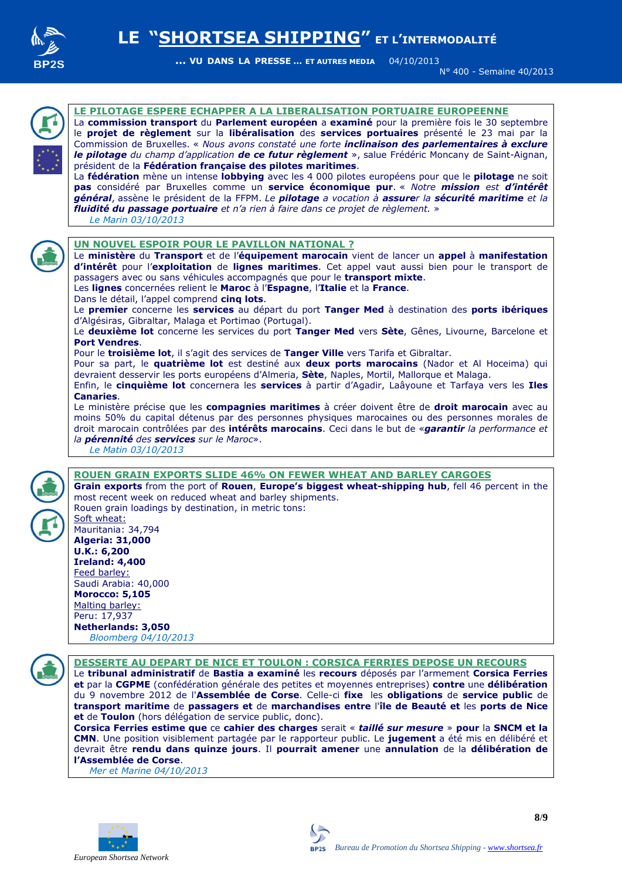![](_page_7_Picture_0.jpeg)

N° 400 - Semaine 40/2013

![](_page_7_Picture_4.jpeg)

#### **LE PILOTAGE ESPERE ECHAPPER A LA LIBERALISATION PORTUAIRE EUROPEENNE**

La **commission transport** du **Parlement européen** a **examiné** pour la première fois le 30 septembre le **projet de règlement** sur la **libéralisation** des **services portuaires** présenté le 23 mai par la Commission de Bruxelles. « *Nous avons constaté une forte inclinaison des parlementaires à exclure le pilotage du champ d'application de ce futur règlement* », salue Frédéric Moncany de Saint-Aignan, président de la **Fédération française des pilotes maritimes**.

La **fédération** mène un intense **lobbying** avec les 4 000 pilotes européens pour que le **pilotage** ne soit **pas** considéré par Bruxelles comme un **service économique pur**. « *Notre mission est d'intérêt général*, assène le président de la FFPM. *Le pilotage a vocation à assurer la sécurité maritime et la fluidité du passage portuaire et n'a rien à faire dans ce projet de règlement.* »  *Le Marin 03/10/2013*

![](_page_7_Picture_8.jpeg)

#### **UN NOUVEL ESPOIR POUR LE PAVILLON NATIONAL ?**

Le **ministère** du **Transport** et de l'**équipement marocain** vient de lancer un **appel** à **manifestation d'intérêt** pour l'**exploitation** de **lignes maritimes**. Cet appel vaut aussi bien pour le transport de passagers avec ou sans véhicules accompagnés que pour le **transport mixte**.

Les **lignes** concernées relient le **Maroc** à l'**Espagne**, l'**Italie** et la **France**.

Dans le détail, l'appel comprend **cinq lots**.

Le **premier** concerne les **services** au départ du port **Tanger Med** à destination des **ports ibériques**  d'Algésiras, Gibraltar, Malaga et Portimao (Portugal).

Le **deuxième lot** concerne les services du port **Tanger Med** vers **Sète**, Gênes, Livourne, Barcelone et **Port Vendres**.

Pour le **troisième lot**, il s'agit des services de **Tanger Ville** vers Tarifa et Gibraltar.

Pour sa part, le **quatrième lot** est destiné aux **deux ports marocains** (Nador et Al Hoceima) qui devraient desservir les ports européens d'Almeria, **Sète**, Naples, Mortil, Mallorque et Malaga.

Enfin, le **cinquième lot** concernera les **services** à partir d'Agadir, Laâyoune et Tarfaya vers les **Iles Canaries**.

Le ministère précise que les **compagnies maritimes** à créer doivent être de **droit marocain** avec au moins 50% du capital détenus par des personnes physiques marocaines ou des personnes morales de droit marocain contrôlées par des **intérêts marocains**. Ceci dans le but de «*garantir la performance et la pérennité des services sur le Maroc*».

 *Le Matin 03/10/2013*

#### **ROUEN GRAIN EXPORTS SLIDE 46% ON FEWER WHEAT AND BARLEY CARGOES**

**Grain exports** from the port of **Rouen**, **Europe's biggest wheat-shipping hub**, fell 46 percent in the most recent week on reduced wheat and barley shipments. Rouen grain loadings by destination, in metric tons:

Soft wheat: Mauritania: 34,794 **Algeria: 31,000 U.K.: 6,200 Ireland: 4,400** Feed barley: Saudi Arabia: 40,000 **Morocco: 5,105** Malting barley: Peru: 17,937 **Netherlands: 3,050**

 *Bloomberg 04/10/2013*

![](_page_7_Picture_24.jpeg)

#### **DESSERTE AU DEPART DE NICE ET TOULON : CORSICA FERRIES DEPOSE UN RECOURS**

Le **tribunal administratif** de **Bastia a examiné** les **recours** déposés par l'armement **Corsica Ferries et** par la **CGPME** (confédération générale des petites et moyennes entreprises) **contre** une **délibération** du 9 novembre 2012 de l'**Assemblée de Corse**. Celle-ci **fixe** les **obligations** de **service public** de **transport maritime** de **passagers et** de **marchandises entre** l'**île de Beauté et** les **ports de Nice et** de **Toulon** (hors délégation de service public, donc).

**Corsica Ferries estime que** ce **cahier des charges** serait « *taillé sur mesure* » **pour** la **SNCM et la CMN**. Une position visiblement partagée par le rapporteur public. Le **jugement** a été mis en délibéré et devrait être **rendu dans quinze jours**. Il **pourrait amener** une **annulation** de la **délibération de l'Assemblée de Corse**.

 *Mer et Marine 04/10/2013*

![](_page_7_Picture_29.jpeg)